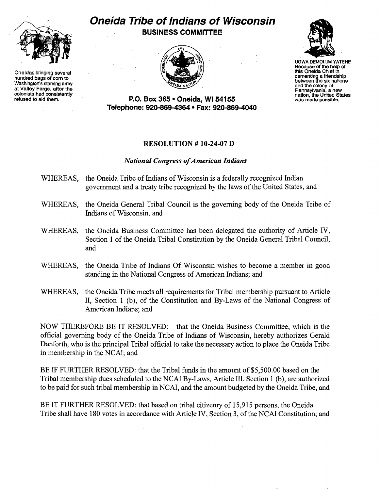

One idea bringing several this One idea Chief in<br>
hundred bags of corn to<br>
Washington's starving army<br>
at Valley Forge, after the<br>
colonists had consistently<br>
colonists had consistently<br>
colonists had consistently<br>
colonis

## **Oneida Tribe of Indians of Wisconsin BUSINESS COMMITTEE**





UGWA DEMOLUM YATEHE Because of the help of<br>this Oneida Chief in

refused to aid them. **P.o. Box 365· Oneida,** WI 54155 was made possible. **Telepl1one: 920-869-4364 • Fax: 920-869-4040** 

## RESOLUTION # 10-24-07 D

## *National Congress ofAmerican Indians*

- WHEREAS, the Oneida Tribe of Indians of Wisconsin is a federally recognized Indian government and a treaty tribe recognized by the laws of the United States, and
- WHEREAS, the Oneida General Tribal Council is the governing body of the Oneida Tribe of Indians of Wisconsin, and
- WHEREAS, the Oneida Business Committee has been delegated the authority of Article IV, Section 1 of the Oneida Tribal Constitution by the Oneida General Tribal Council, and
- WHEREAS, the Oneida Tribe of Indians Of Wisconsin wishes to become a member in good standing in the National Congress of American Indians; and
- WHEREAS, the Oneida Tribe meets all requirements for Tribal membership pursuant to Article II, Section 1 (b), of the Constitution and By-Laws of the National Congress of American Indians; and

NOW THEREFORE BE IT RESOLVED: that the Oneida Business Committee, which is the official governing body of the Oneida Tribe of Indians of Wisconsin, hereby authorizes Gerald Danforth, who is the principal Tribal official to take the necessary action to place the Oneida Tribe in membership in the NCAI; and

BE IF FURTHER RESOLVED: that the Tribal funds in the amount of \$5,500.00 based on the Tribal membership dues scheduled to the NCAI By-Laws, Article III. Section 1 (b), are authorized to be paid for such tribal membership in NCAI, and the amount budgeted by the Oneida Tribe, and

BE IT FURTHER RESOLVED: that based on tribal citizenry of 15,915 persons, the Oneida Tribe shall have 180 votes in accordance with Article IV, Section 3, of the NCAI Constitution; and